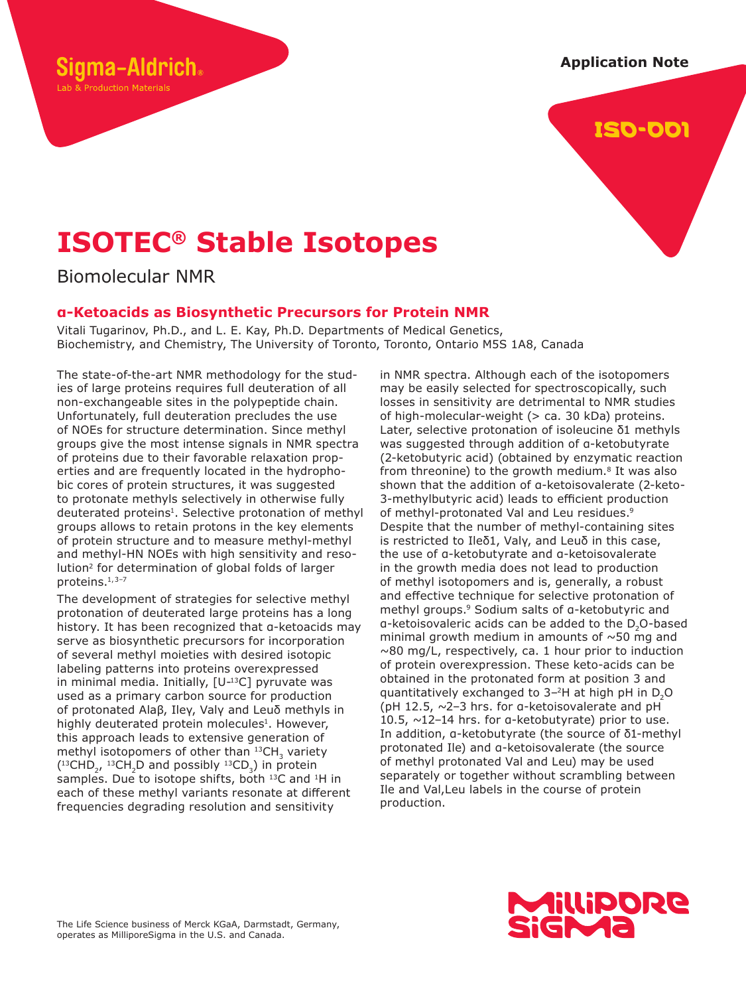**Application Note**



# **ISOTEC® Stable Isotopes**

Biomolecular NMR

ama-Aldrich。

Lab & Production Materials

# **α-Ketoacids as Biosynthetic Precursors for Protein NMR**

Vitali Tugarinov, Ph.D., and L. E. Kay, Ph.D. Departments of Medical Genetics, Biochemistry, and Chemistry, The University of Toronto, Toronto, Ontario M5S 1A8, Canada

The state-of-the-art NMR methodology for the studies of large proteins requires full deuteration of all non-exchangeable sites in the polypeptide chain. Unfortunately, full deuteration precludes the use of NOEs for structure determination. Since methyl groups give the most intense signals in NMR spectra of proteins due to their favorable relaxation properties and are frequently located in the hydrophobic cores of protein structures, it was suggested to protonate methyls selectively in otherwise fully deuterated proteins<sup>1</sup>. Selective protonation of methyl groups allows to retain protons in the key elements of protein structure and to measure methyl-methyl and methyl-HN NOEs with high sensitivity and resolution<sup>2</sup> for determination of global folds of larger proteins.<sup>1,3-7</sup>

The development of strategies for selective methyl protonation of deuterated large proteins has a long history. It has been recognized that α-ketoacids may serve as biosynthetic precursors for incorporation of several methyl moieties with desired isotopic labeling patterns into proteins overexpressed in minimal media. Initially,  $[U^{-13}C]$  pyruvate was used as a primary carbon source for production of protonated Alaβ, Ileγ, Valγ and Leuδ methyls in highly deuterated protein molecules<sup>1</sup>. However, this approach leads to extensive generation of methyl isotopomers of other than  $^{13}$ CH<sub>3</sub> variety  $(^{13}CHD<sub>2</sub>$ ,  $^{13}CH<sub>2</sub>D$  and possibly  $^{13}CD<sub>3</sub>$ ) in protein samples. Due to isotope shifts, both <sup>13</sup>C and <sup>1</sup>H in each of these methyl variants resonate at different frequencies degrading resolution and sensitivity

in NMR spectra. Although each of the isotopomers may be easily selected for spectroscopically, such losses in sensitivity are detrimental to NMR studies of high-molecular-weight (> ca. 30 kDa) proteins. Later, selective protonation of isoleucine δ1 methyls was suggested through addition of α-ketobutyrate (2-ketobutyric acid) (obtained by enzymatic reaction from threonine) to the growth medium.<sup>8</sup> It was also shown that the addition of α-ketoisovalerate (2-keto-3-methylbutyric acid) leads to efficient production of methyl-protonated Val and Leu residues.<sup>9</sup> Despite that the number of methyl-containing sites is restricted to Ileδ1, Valγ, and Leuδ in this case, the use of α-ketobutyrate and α-ketoisovalerate in the growth media does not lead to production of methyl isotopomers and is, generally, a robust and effective technique for selective protonation of methyl groups.<sup>9</sup> Sodium salts of a-ketobutyric and α-ketoisovaleric acids can be added to the D<sub>2</sub>O-based minimal growth medium in amounts of  $\sim$ 50 mg and  $\sim$ 80 mg/L, respectively, ca. 1 hour prior to induction of protein overexpression. These keto-acids can be obtained in the protonated form at position 3 and quantitatively exchanged to 3–<sup>2</sup>H at high pH in D2O (pH 12.5,  $\sim$ 2-3 hrs. for a-ketoisovalerate and pH 10.5, ~12–14 hrs. for α-ketobutyrate) prior to use. In addition, α-ketobutyrate (the source of δ1-methyl protonated Ile) and α-ketoisovalerate (the source of methyl protonated Val and Leu) may be used separately or together without scrambling between Ile and Val,Leu labels in the course of protein production.

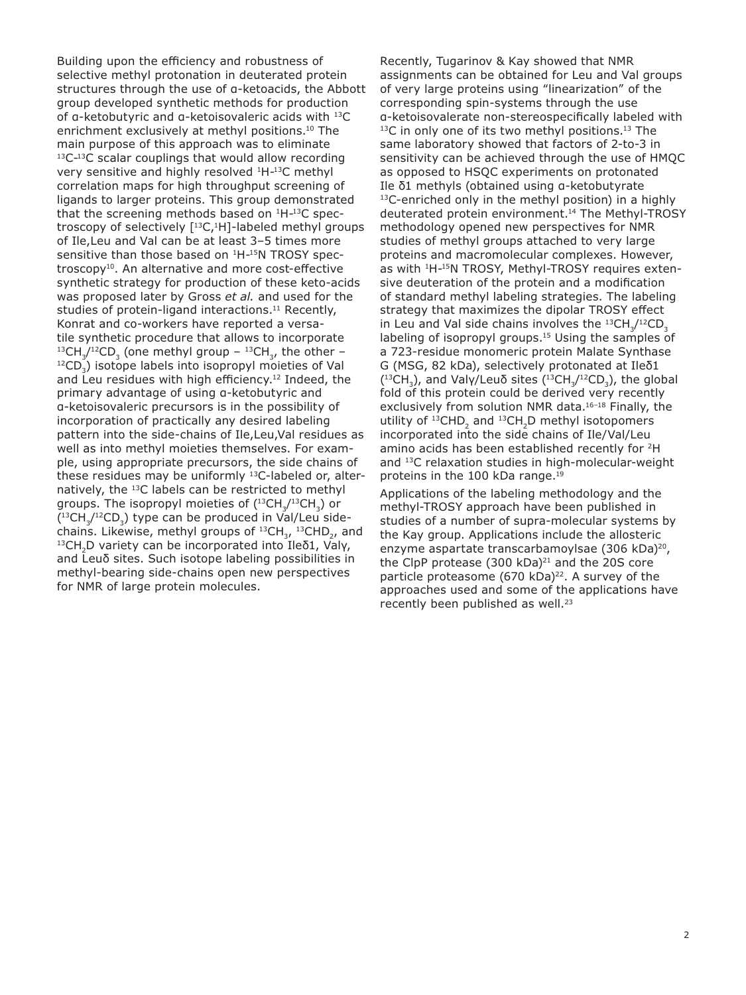Building upon the efficiency and robustness of selective methyl protonation in deuterated protein structures through the use of α-ketoacids, the Abbott group developed synthetic methods for production of α-ketobutyric and α-ketoisovaleric acids with <sup>13</sup>C enrichment exclusively at methyl positions.<sup>10</sup> The main purpose of this approach was to eliminate 13C-13C scalar couplings that would allow recording very sensitive and highly resolved <sup>1</sup>H-<sup>13</sup>C methyl correlation maps for high throughput screening of ligands to larger proteins. This group demonstrated that the screening methods based on <sup>1</sup>H-<sup>13</sup>C spectroscopy of selectively [<sup>13</sup>C,<sup>1</sup>H]-labeled methyl groups of Ile,Leu and Val can be at least 3–5 times more sensitive than those based on  $1H-15N$  TROSY spectroscopy<sup>10</sup>. An alternative and more cost-effective synthetic strategy for production of these keto-acids was proposed later by Gross *et al.* and used for the studies of protein-ligand interactions.<sup>11</sup> Recently, Konrat and co-workers have reported a versatile synthetic procedure that allows to incorporate  $^{13}$ CH<sub>3</sub>/<sup>12</sup>CD<sub>3</sub> (one methyl group –  $^{13}$ CH<sub>3</sub>, the other –  $^{12}CD_{3}$ ) isotope labels into isopropyl moieties of Val and Leu residues with high efficiency.<sup>12</sup> Indeed, the primary advantage of using α-ketobutyric and α-ketoisovaleric precursors is in the possibility of incorporation of practically any desired labeling pattern into the side-chains of Ile,Leu,Val residues as well as into methyl moieties themselves. For example, using appropriate precursors, the side chains of these residues may be uniformly <sup>13</sup>C-labeled or, alternatively, the <sup>13</sup>C labels can be restricted to methyl groups. The isopropyl moieties of  $({}^{13}CH_{3}/{}^{13}CH_{3})$  or  $(^{13}CH_{3}/^{12}CD_{3})$  type can be produced in Val/Leu sidechains. Likewise, methyl groups of  $^{13}CH_{3}$ ,  $^{13}CHD_{2}$ , and <sup>13</sup>CH<sub>2</sub>D variety can be incorporated into Ileδ1, Valy, and Leuδ sites. Such isotope labeling possibilities in methyl-bearing side-chains open new perspectives for NMR of large protein molecules.

Recently, Tugarinov & Kay showed that NMR assignments can be obtained for Leu and Val groups of very large proteins using "linearization" of the corresponding spin-systems through the use α-ketoisovalerate non-stereospecifically labeled with <sup>13</sup>C in only one of its two methyl positions.<sup>13</sup> The same laboratory showed that factors of 2-to-3 in sensitivity can be achieved through the use of HMQC as opposed to HSQC experiments on protonated Ile δ1 methyls (obtained using α-ketobutyrate <sup>13</sup>C-enriched only in the methyl position) in a highly deuterated protein environment.<sup>14</sup> The Methyl-TROSY methodology opened new perspectives for NMR studies of methyl groups attached to very large proteins and macromolecular complexes. However, as with <sup>1</sup>H-<sup>15</sup>N TROSY, Methyl-TROSY requires extensive deuteration of the protein and a modification of standard methyl labeling strategies. The labeling strategy that maximizes the dipolar TROSY effect in Leu and Val side chains involves the  $^{13}$ CH<sub>3</sub>/<sup>12</sup>CD<sub>3</sub> labeling of isopropyl groups.<sup>15</sup> Using the samples of a 723-residue monomeric protein Malate Synthase G (MSG, 82 kDa), selectively protonated at Ileδ1  $(^{13}CH_3)$ , and Valγ/Leuδ sites  $(^{13}CH_3/^{12}CD_3)$ , the global fold of this protein could be derived very recently exclusively from solution NMR data.<sup>16-18</sup> Finally, the utility of  $^{13}$ CHD<sub>2</sub> and  $^{13}$ CH<sub>2</sub>D methyl isotopomers incorporated into the side chains of Ile/Val/Leu amino acids has been established recently for <sup>2</sup>H and <sup>13</sup>C relaxation studies in high-molecular-weight proteins in the 100 kDa range.<sup>19</sup>

Applications of the labeling methodology and the methyl-TROSY approach have been published in studies of a number of supra-molecular systems by the Kay group. Applications include the allosteric enzyme aspartate transcarbamoylsae (306 kDa)<sup>20</sup>, the ClpP protease (300 kDa) $^{21}$  and the 20S core particle proteasome  $(670 \text{ kDa})^{22}$ . A survey of the approaches used and some of the applications have recently been published as well.<sup>23</sup>